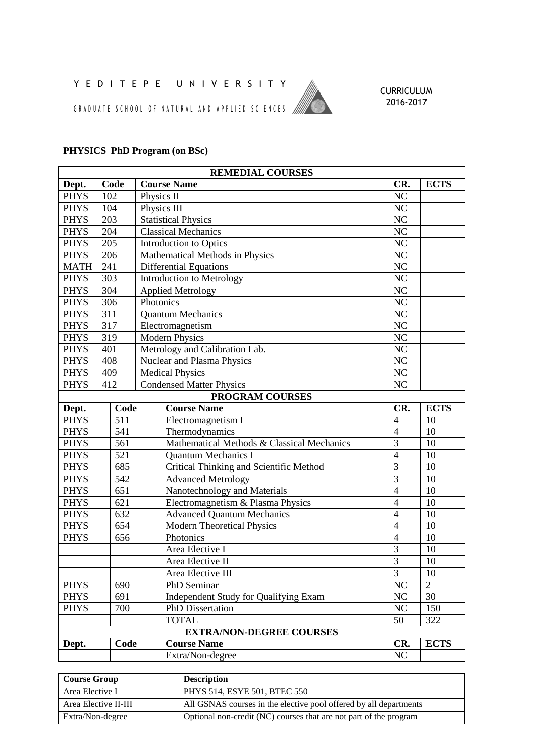## Y E D I T E P E U N I V E R S I T Y

G R A D U A T E S C H O O L O F N A T U R A L A N D A P P L I E D S C I E N C E S //



## **PHYSICS PhD Program (on BSc)**

| <b>REMEDIAL COURSES</b>         |                  |                                                |                        |                |  |  |
|---------------------------------|------------------|------------------------------------------------|------------------------|----------------|--|--|
| Dept.                           | Code             | <b>Course Name</b>                             | CR.                    | <b>ECTS</b>    |  |  |
| <b>PHYS</b>                     | 102              | Physics II                                     | NC                     |                |  |  |
| <b>PHYS</b>                     | 104              | Physics III                                    | NC                     |                |  |  |
| <b>PHYS</b>                     | 203              | <b>Statistical Physics</b>                     | $\overline{\text{NC}}$ |                |  |  |
| <b>PHYS</b>                     | 204              | <b>Classical Mechanics</b>                     | $N\overline{C}$        |                |  |  |
| <b>PHYS</b>                     | 205              | <b>Introduction to Optics</b>                  | NC                     |                |  |  |
| <b>PHYS</b>                     | 206              | Mathematical Methods in Physics                | NC                     |                |  |  |
| <b>MATH</b>                     | 241              | <b>Differential Equations</b>                  | NC                     |                |  |  |
| <b>PHYS</b>                     | 303              | <b>Introduction to Metrology</b>               | $\overline{\text{NC}}$ |                |  |  |
| <b>PHYS</b>                     | 304              | <b>Applied Metrology</b>                       | NC                     |                |  |  |
| <b>PHYS</b>                     | 306              | Photonics                                      | NC                     |                |  |  |
| <b>PHYS</b>                     | 311              | <b>Quantum Mechanics</b>                       | NC                     |                |  |  |
| <b>PHYS</b>                     | $\overline{317}$ | Electromagnetism                               | $\overline{\text{NC}}$ |                |  |  |
| <b>PHYS</b>                     | 319              | <b>Modern Physics</b>                          | NC                     |                |  |  |
| <b>PHYS</b>                     | 401              | Metrology and Calibration Lab.                 | $\overline{\text{NC}}$ |                |  |  |
| <b>PHYS</b>                     | 408              | <b>Nuclear and Plasma Physics</b>              | NC                     |                |  |  |
| <b>PHYS</b>                     | 409              | <b>Medical Physics</b>                         | <b>NC</b>              |                |  |  |
| <b>PHYS</b>                     | 412              | <b>Condensed Matter Physics</b>                | NC                     |                |  |  |
|                                 |                  | <b>PROGRAM COURSES</b>                         |                        |                |  |  |
| Dept.                           | Code             | <b>Course Name</b>                             | CR.                    | <b>ECTS</b>    |  |  |
| <b>PHYS</b>                     | 511              | Electromagnetism I                             | $\overline{4}$         | 10             |  |  |
| <b>PHYS</b>                     | 541              | Thermodynamics                                 | $\overline{4}$         | 10             |  |  |
| <b>PHYS</b>                     | 561              | Mathematical Methods & Classical Mechanics     | $\overline{3}$         | 10             |  |  |
| <b>PHYS</b>                     | 521              | <b>Quantum Mechanics I</b>                     | $\overline{4}$         | 10             |  |  |
| <b>PHYS</b>                     | 685              | <b>Critical Thinking and Scientific Method</b> | $\overline{3}$         | 10             |  |  |
| <b>PHYS</b>                     | 542              | <b>Advanced Metrology</b>                      | $\overline{3}$         | 10             |  |  |
| <b>PHYS</b>                     | 651              | Nanotechnology and Materials                   | $\overline{4}$         | 10             |  |  |
| <b>PHYS</b>                     | 621              | Electromagnetism & Plasma Physics              | $\overline{4}$         | 10             |  |  |
| <b>PHYS</b>                     | 632              | <b>Advanced Quantum Mechanics</b>              | $\overline{4}$         | 10             |  |  |
| <b>PHYS</b>                     | 654              | Modern Theoretical Physics                     | $\overline{4}$         | 10             |  |  |
| <b>PHYS</b>                     | 656              | Photonics                                      | $\overline{4}$         | 10             |  |  |
|                                 |                  | Area Elective I                                | 3                      | 10             |  |  |
|                                 |                  | Area Elective II                               | $\overline{3}$         | 10             |  |  |
|                                 |                  | Area Elective III                              | $\mathfrak{Z}$         | 10             |  |  |
| <b>PHYS</b>                     | 690              | PhD Seminar                                    | NC                     | $\overline{2}$ |  |  |
| <b>PHYS</b>                     | 691              | Independent Study for Qualifying Exam          | NC                     | 30             |  |  |
| <b>PHYS</b>                     | 700              | <b>PhD</b> Dissertation                        | NC                     | 150            |  |  |
|                                 |                  | <b>TOTAL</b>                                   | 50                     | 322            |  |  |
| <b>EXTRA/NON-DEGREE COURSES</b> |                  |                                                |                        |                |  |  |
| Dept.                           | Code             | <b>Course Name</b>                             | CR.                    | <b>ECTS</b>    |  |  |
|                                 |                  | Extra/Non-degree                               | $\rm NC$               |                |  |  |

| <b>Course Group</b>  | <b>Description</b>                                                |
|----------------------|-------------------------------------------------------------------|
| Area Elective I      | PHYS 514, ESYE 501, BTEC 550                                      |
| Area Elective II-III | All GSNAS courses in the elective pool offered by all departments |
| Extra/Non-degree     | Optional non-credit (NC) courses that are not part of the program |